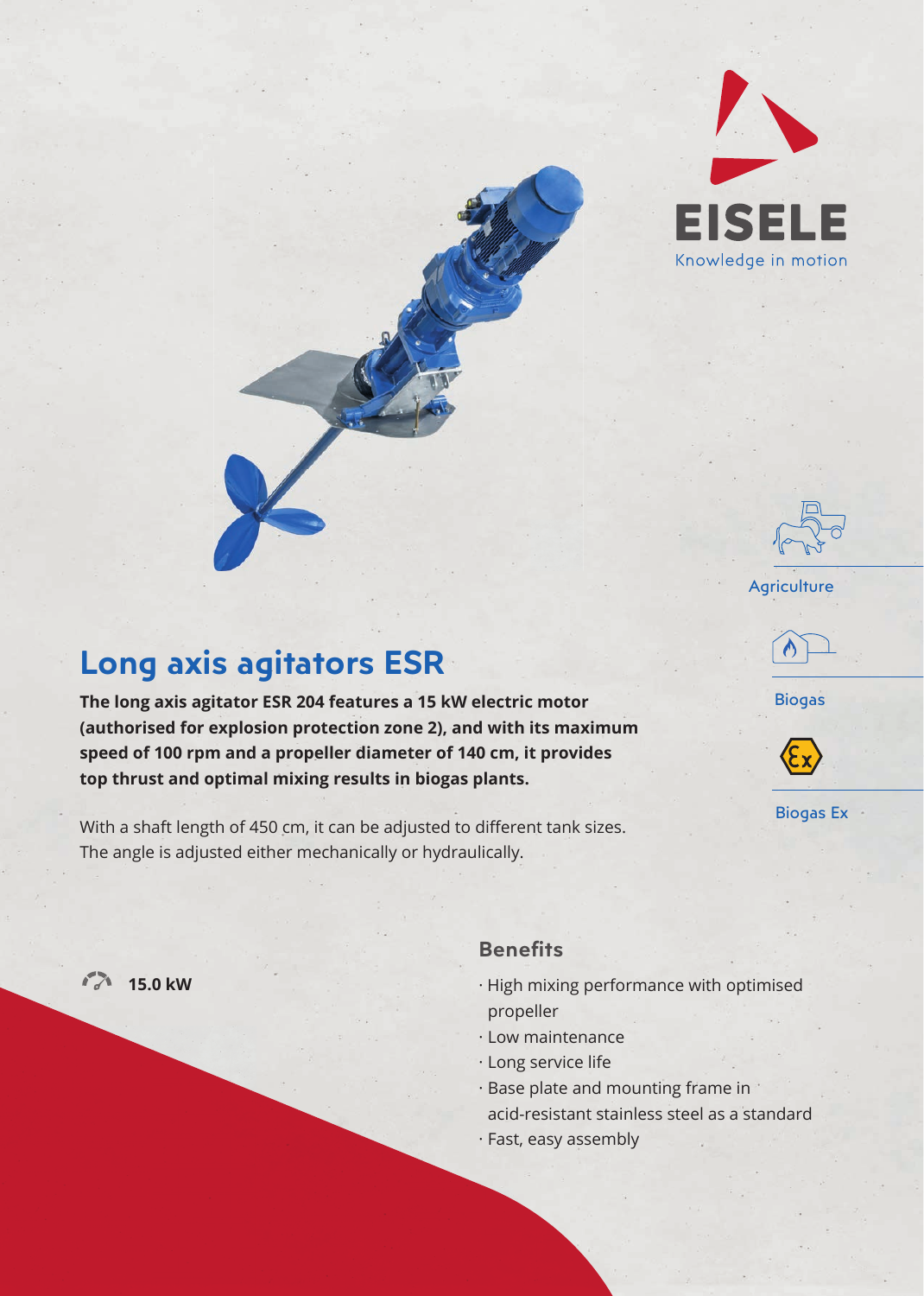

# **Long axis agitators ESR**

**The long axis agitator ESR 204 features a 15 kW electric motor (authorised for explosion protection zone 2), and with its maximum speed of 100 rpm and a propeller diameter of 140 cm, it provides top thrust and optimal mixing results in biogas plants.**

With a shaft length of 450 cm, it can be adjusted to different tank sizes. The angle is adjusted either mechanically or hydraulically.



### **Benefits**

· High mixing performance with optimised propeller

**Agriculture** 

Biogas

Biogas Ex

- · Low maintenance
- · Long service life
- · Base plate and mounting frame in acid-resistant stainless steel as a standard
- · Fast, easy assembly